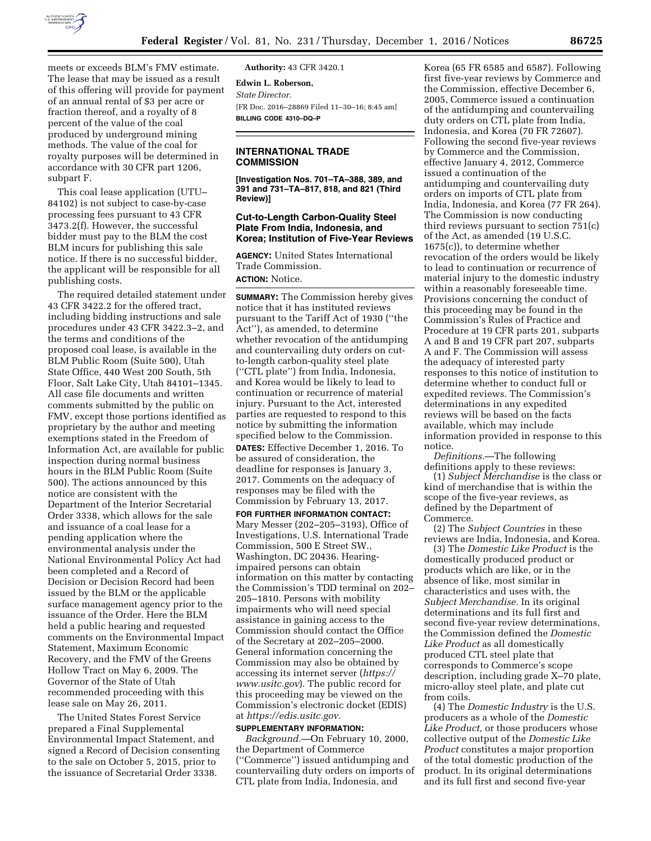

meets or exceeds BLM's FMV estimate. The lease that may be issued as a result of this offering will provide for payment of an annual rental of \$3 per acre or fraction thereof, and a royalty of 8 percent of the value of the coal produced by underground mining methods. The value of the coal for royalty purposes will be determined in accordance with 30 CFR part 1206, subpart F.

This coal lease application (UTU– 84102) is not subject to case-by-case processing fees pursuant to 43 CFR 3473.2(f). However, the successful bidder must pay to the BLM the cost BLM incurs for publishing this sale notice. If there is no successful bidder, the applicant will be responsible for all publishing costs.

The required detailed statement under 43 CFR 3422.2 for the offered tract, including bidding instructions and sale procedures under 43 CFR 3422.3–2, and the terms and conditions of the proposed coal lease, is available in the BLM Public Room (Suite 500), Utah State Office, 440 West 200 South, 5th Floor, Salt Lake City, Utah 84101–1345. All case file documents and written comments submitted by the public on FMV, except those portions identified as proprietary by the author and meeting exemptions stated in the Freedom of Information Act, are available for public inspection during normal business hours in the BLM Public Room (Suite 500). The actions announced by this notice are consistent with the Department of the Interior Secretarial Order 3338, which allows for the sale and issuance of a coal lease for a pending application where the environmental analysis under the National Environmental Policy Act had been completed and a Record of Decision or Decision Record had been issued by the BLM or the applicable surface management agency prior to the issuance of the Order. Here the BLM held a public hearing and requested comments on the Environmental Impact Statement, Maximum Economic Recovery, and the FMV of the Greens Hollow Tract on May 6, 2009. The Governor of the State of Utah recommended proceeding with this lease sale on May 26, 2011.

The United States Forest Service prepared a Final Supplemental Environmental Impact Statement, and signed a Record of Decision consenting to the sale on October 5, 2015, prior to the issuance of Secretarial Order 3338.

**Authority:** 43 CFR 3420.1

**Edwin L. Roberson,**  *State Director.*  [FR Doc. 2016–28869 Filed 11–30–16; 8:45 am] **BILLING CODE 4310–DQ–P** 

### **INTERNATIONAL TRADE COMMISSION**

**[Investigation Nos. 701–TA–388, 389, and 391 and 731–TA–817, 818, and 821 (Third Review)]** 

#### **Cut-to-Length Carbon-Quality Steel Plate From India, Indonesia, and Korea; Institution of Five-Year Reviews**

**AGENCY:** United States International Trade Commission. **ACTION:** Notice.

**SUMMARY:** The Commission hereby gives notice that it has instituted reviews pursuant to the Tariff Act of 1930 (''the Act''), as amended, to determine whether revocation of the antidumping and countervailing duty orders on cutto-length carbon-quality steel plate (''CTL plate'') from India, Indonesia, and Korea would be likely to lead to continuation or recurrence of material injury. Pursuant to the Act, interested parties are requested to respond to this notice by submitting the information specified below to the Commission.

**DATES:** Effective December 1, 2016. To be assured of consideration, the deadline for responses is January 3, 2017. Comments on the adequacy of responses may be filed with the Commission by February 13, 2017.

**FOR FURTHER INFORMATION CONTACT:**  Mary Messer (202–205–3193), Office of Investigations, U.S. International Trade Commission, 500 E Street SW., Washington, DC 20436. Hearingimpaired persons can obtain information on this matter by contacting the Commission's TDD terminal on 202– 205–1810. Persons with mobility impairments who will need special assistance in gaining access to the Commission should contact the Office of the Secretary at 202–205–2000. General information concerning the Commission may also be obtained by accessing its internet server (*[https://](https://www.usitc.gov) [www.usitc.gov](https://www.usitc.gov)*). The public record for this proceeding may be viewed on the Commission's electronic docket (EDIS) at *[https://edis.usitc.gov.](https://edis.usitc.gov)* 

# **SUPPLEMENTARY INFORMATION:**

*Background.*—On February 10, 2000, the Department of Commerce (''Commerce'') issued antidumping and countervailing duty orders on imports of CTL plate from India, Indonesia, and

Korea (65 FR 6585 and 6587). Following first five-year reviews by Commerce and the Commission, effective December 6, 2005, Commerce issued a continuation of the antidumping and countervailing duty orders on CTL plate from India, Indonesia, and Korea (70 FR 72607). Following the second five-year reviews by Commerce and the Commission, effective January 4, 2012, Commerce issued a continuation of the antidumping and countervailing duty orders on imports of CTL plate from India, Indonesia, and Korea (77 FR 264). The Commission is now conducting third reviews pursuant to section 751(c) of the Act, as amended (19 U.S.C. 1675(c)), to determine whether revocation of the orders would be likely to lead to continuation or recurrence of material injury to the domestic industry within a reasonably foreseeable time. Provisions concerning the conduct of this proceeding may be found in the Commission's Rules of Practice and Procedure at 19 CFR parts 201, subparts A and B and 19 CFR part 207, subparts A and F. The Commission will assess the adequacy of interested party responses to this notice of institution to determine whether to conduct full or expedited reviews. The Commission's determinations in any expedited reviews will be based on the facts available, which may include information provided in response to this notice.

*Definitions.*—The following definitions apply to these reviews:

(1) *Subject Merchandise* is the class or kind of merchandise that is within the scope of the five-year reviews, as defined by the Department of Commerce.

(2) The *Subject Countries* in these reviews are India, Indonesia, and Korea.

(3) The *Domestic Like Product* is the domestically produced product or products which are like, or in the absence of like, most similar in characteristics and uses with, the *Subject Merchandise.* In its original determinations and its full first and second five-year review determinations, the Commission defined the *Domestic Like Product* as all domestically produced CTL steel plate that corresponds to Commerce's scope description, including grade X–70 plate, micro-alloy steel plate, and plate cut from coils.

(4) The *Domestic Industry* is the U.S. producers as a whole of the *Domestic Like Product,* or those producers whose collective output of the *Domestic Like Product* constitutes a major proportion of the total domestic production of the product. In its original determinations and its full first and second five-year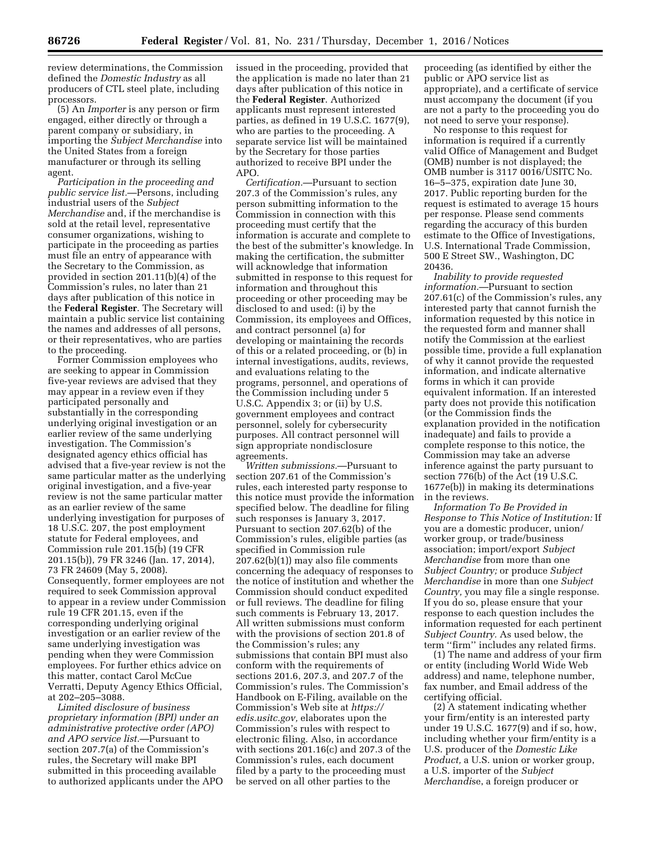review determinations, the Commission defined the *Domestic Industry* as all producers of CTL steel plate, including processors.

(5) An *Importer* is any person or firm engaged, either directly or through a parent company or subsidiary, in importing the *Subject Merchandise* into the United States from a foreign manufacturer or through its selling agent.

*Participation in the proceeding and public service list.*—Persons, including industrial users of the *Subject Merchandise* and, if the merchandise is sold at the retail level, representative consumer organizations, wishing to participate in the proceeding as parties must file an entry of appearance with the Secretary to the Commission, as provided in section 201.11(b)(4) of the Commission's rules, no later than 21 days after publication of this notice in the **Federal Register**. The Secretary will maintain a public service list containing the names and addresses of all persons, or their representatives, who are parties to the proceeding.

Former Commission employees who are seeking to appear in Commission five-year reviews are advised that they may appear in a review even if they participated personally and substantially in the corresponding underlying original investigation or an earlier review of the same underlying investigation. The Commission's designated agency ethics official has advised that a five-year review is not the same particular matter as the underlying original investigation, and a five-year review is not the same particular matter as an earlier review of the same underlying investigation for purposes of 18 U.S.C. 207, the post employment statute for Federal employees, and Commission rule 201.15(b) (19 CFR 201.15(b)), 79 FR 3246 (Jan. 17, 2014), 73 FR 24609 (May 5, 2008). Consequently, former employees are not required to seek Commission approval to appear in a review under Commission rule 19 CFR 201.15, even if the corresponding underlying original investigation or an earlier review of the same underlying investigation was pending when they were Commission employees. For further ethics advice on this matter, contact Carol McCue Verratti, Deputy Agency Ethics Official, at 202–205–3088.

*Limited disclosure of business proprietary information (BPI) under an administrative protective order (APO) and APO service list.*—Pursuant to section 207.7(a) of the Commission's rules, the Secretary will make BPI submitted in this proceeding available to authorized applicants under the APO issued in the proceeding, provided that the application is made no later than 21 days after publication of this notice in the **Federal Register**. Authorized applicants must represent interested parties, as defined in 19 U.S.C. 1677(9), who are parties to the proceeding. A separate service list will be maintained by the Secretary for those parties authorized to receive BPI under the APO.

*Certification.*—Pursuant to section 207.3 of the Commission's rules, any person submitting information to the Commission in connection with this proceeding must certify that the information is accurate and complete to the best of the submitter's knowledge. In making the certification, the submitter will acknowledge that information submitted in response to this request for information and throughout this proceeding or other proceeding may be disclosed to and used: (i) by the Commission, its employees and Offices, and contract personnel (a) for developing or maintaining the records of this or a related proceeding, or (b) in internal investigations, audits, reviews, and evaluations relating to the programs, personnel, and operations of the Commission including under 5 U.S.C. Appendix 3; or (ii) by U.S. government employees and contract personnel, solely for cybersecurity purposes. All contract personnel will sign appropriate nondisclosure agreements.

*Written submissions.*—Pursuant to section 207.61 of the Commission's rules, each interested party response to this notice must provide the information specified below. The deadline for filing such responses is January 3, 2017. Pursuant to section 207.62(b) of the Commission's rules, eligible parties (as specified in Commission rule 207.62(b)(1)) may also file comments concerning the adequacy of responses to the notice of institution and whether the Commission should conduct expedited or full reviews. The deadline for filing such comments is February 13, 2017. All written submissions must conform with the provisions of section 201.8 of the Commission's rules; any submissions that contain BPI must also conform with the requirements of sections 201.6, 207.3, and 207.7 of the Commission's rules. The Commission's Handbook on E-Filing, available on the Commission's Web site at *[https://](https://edis.usitc.gov) [edis.usitc.gov,](https://edis.usitc.gov)* elaborates upon the Commission's rules with respect to electronic filing. Also, in accordance with sections 201.16(c) and 207.3 of the Commission's rules, each document filed by a party to the proceeding must be served on all other parties to the

proceeding (as identified by either the public or APO service list as appropriate), and a certificate of service must accompany the document (if you are not a party to the proceeding you do not need to serve your response).

No response to this request for information is required if a currently valid Office of Management and Budget (OMB) number is not displayed; the OMB number is 3117 0016/USITC No. 16–5–375, expiration date June 30, 2017. Public reporting burden for the request is estimated to average 15 hours per response. Please send comments regarding the accuracy of this burden estimate to the Office of Investigations, U.S. International Trade Commission, 500 E Street SW., Washington, DC 20436.

*Inability to provide requested information.*—Pursuant to section 207.61(c) of the Commission's rules, any interested party that cannot furnish the information requested by this notice in the requested form and manner shall notify the Commission at the earliest possible time, provide a full explanation of why it cannot provide the requested information, and indicate alternative forms in which it can provide equivalent information. If an interested party does not provide this notification (or the Commission finds the explanation provided in the notification inadequate) and fails to provide a complete response to this notice, the Commission may take an adverse inference against the party pursuant to section 776(b) of the Act (19 U.S.C. 1677e(b)) in making its determinations in the reviews.

*Information To Be Provided in Response to This Notice of Institution:* If you are a domestic producer, union/ worker group, or trade/business association; import/export *Subject Merchandise* from more than one *Subject Country;* or produce *Subject Merchandise* in more than one *Subject Country,* you may file a single response. If you do so, please ensure that your response to each question includes the information requested for each pertinent *Subject Country.* As used below, the term ''firm'' includes any related firms.

(1) The name and address of your firm or entity (including World Wide Web address) and name, telephone number, fax number, and Email address of the certifying official.

(2) A statement indicating whether your firm/entity is an interested party under 19 U.S.C. 1677(9) and if so, how, including whether your firm/entity is a U.S. producer of the *Domestic Like Product,* a U.S. union or worker group, a U.S. importer of the *Subject Merchandi*se, a foreign producer or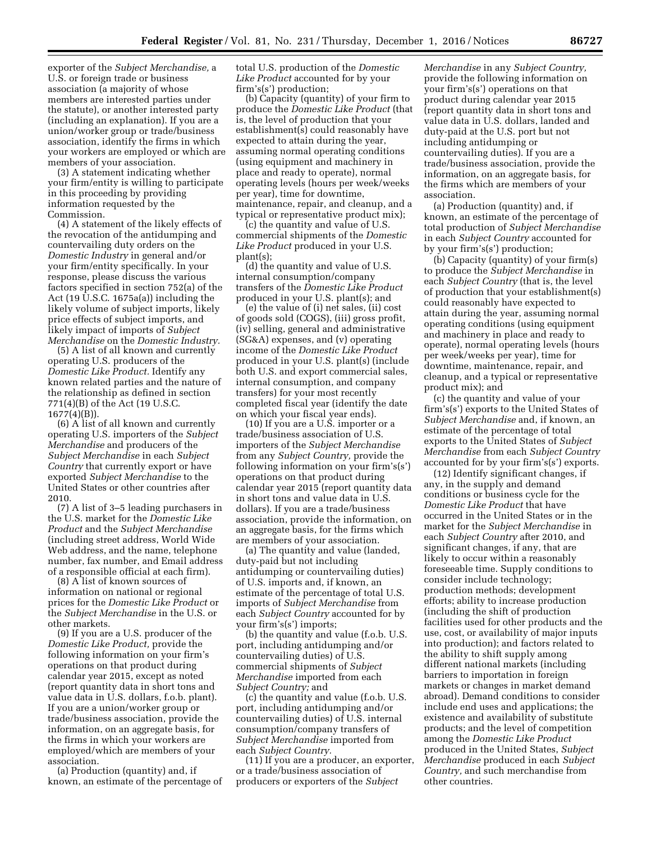exporter of the *Subject Merchandise,* a U.S. or foreign trade or business association (a majority of whose members are interested parties under the statute), or another interested party (including an explanation). If you are a union/worker group or trade/business association, identify the firms in which your workers are employed or which are members of your association.

(3) A statement indicating whether your firm/entity is willing to participate in this proceeding by providing information requested by the Commission.

(4) A statement of the likely effects of the revocation of the antidumping and countervailing duty orders on the *Domestic Industry* in general and/or your firm/entity specifically. In your response, please discuss the various factors specified in section 752(a) of the Act (19 U.S.C. 1675a(a)) including the likely volume of subject imports, likely price effects of subject imports, and likely impact of imports of *Subject Merchandise* on the *Domestic Industry.* 

(5) A list of all known and currently operating U.S. producers of the *Domestic Like Product.* Identify any known related parties and the nature of the relationship as defined in section 771(4)(B) of the Act (19 U.S.C. 1677(4)(B)).

(6) A list of all known and currently operating U.S. importers of the *Subject Merchandise* and producers of the *Subject Merchandise* in each *Subject Country* that currently export or have exported *Subject Merchandise* to the United States or other countries after 2010.

(7) A list of 3–5 leading purchasers in the U.S. market for the *Domestic Like Product* and the *Subject Merchandise*  (including street address, World Wide Web address, and the name, telephone number, fax number, and Email address of a responsible official at each firm).

(8) A list of known sources of information on national or regional prices for the *Domestic Like Product* or the *Subject Merchandise* in the U.S. or other markets.

(9) If you are a U.S. producer of the *Domestic Like Product,* provide the following information on your firm's operations on that product during calendar year 2015, except as noted (report quantity data in short tons and value data in U.S. dollars, f.o.b. plant). If you are a union/worker group or trade/business association, provide the information, on an aggregate basis, for the firms in which your workers are employed/which are members of your association.

(a) Production (quantity) and, if known, an estimate of the percentage of total U.S. production of the *Domestic Like Product* accounted for by your firm's(s') production;

(b) Capacity (quantity) of your firm to produce the *Domestic Like Product* (that is, the level of production that your establishment(s) could reasonably have expected to attain during the year, assuming normal operating conditions (using equipment and machinery in place and ready to operate), normal operating levels (hours per week/weeks per year), time for downtime, maintenance, repair, and cleanup, and a typical or representative product mix);

(c) the quantity and value of U.S. commercial shipments of the *Domestic Like Product* produced in your U.S. plant(s);

(d) the quantity and value of U.S. internal consumption/company transfers of the *Domestic Like Product*  produced in your U.S. plant(s); and

(e) the value of (i) net sales, (ii) cost of goods sold (COGS), (iii) gross profit, (iv) selling, general and administrative (SG&A) expenses, and (v) operating income of the *Domestic Like Product*  produced in your U.S. plant(s) (include both U.S. and export commercial sales, internal consumption, and company transfers) for your most recently completed fiscal year (identify the date on which your fiscal year ends).

(10) If you are a U.S. importer or a trade/business association of U.S. importers of the *Subject Merchandise*  from any *Subject Country,* provide the following information on your firm's(s') operations on that product during calendar year 2015 (report quantity data in short tons and value data in U.S. dollars). If you are a trade/business association, provide the information, on an aggregate basis, for the firms which are members of your association.

(a) The quantity and value (landed, duty-paid but not including antidumping or countervailing duties) of U.S. imports and, if known, an estimate of the percentage of total U.S. imports of *Subject Merchandise* from each *Subject Country* accounted for by your firm's(s') imports;

(b) the quantity and value (f.o.b. U.S. port, including antidumping and/or countervailing duties) of U.S. commercial shipments of *Subject Merchandise* imported from each *Subject Country;* and

(c) the quantity and value (f.o.b. U.S. port, including antidumping and/or countervailing duties) of U.S. internal consumption/company transfers of *Subject Merchandise* imported from each *Subject Country.* 

(11) If you are a producer, an exporter, or a trade/business association of producers or exporters of the *Subject* 

*Merchandise* in any *Subject Country,*  provide the following information on your firm's(s') operations on that product during calendar year 2015 (report quantity data in short tons and value data in U.S. dollars, landed and duty-paid at the U.S. port but not including antidumping or countervailing duties). If you are a trade/business association, provide the information, on an aggregate basis, for the firms which are members of your association.

(a) Production (quantity) and, if known, an estimate of the percentage of total production of *Subject Merchandise*  in each *Subject Country* accounted for by your firm's(s') production;

(b) Capacity (quantity) of your firm(s) to produce the *Subject Merchandise* in each *Subject Country* (that is, the level of production that your establishment(s) could reasonably have expected to attain during the year, assuming normal operating conditions (using equipment and machinery in place and ready to operate), normal operating levels (hours per week/weeks per year), time for downtime, maintenance, repair, and cleanup, and a typical or representative product mix); and

(c) the quantity and value of your firm's(s') exports to the United States of *Subject Merchandise* and, if known, an estimate of the percentage of total exports to the United States of *Subject Merchandise* from each *Subject Country*  accounted for by your firm's(s') exports.

(12) Identify significant changes, if any, in the supply and demand conditions or business cycle for the *Domestic Like Product* that have occurred in the United States or in the market for the *Subject Merchandise* in each *Subject Country* after 2010, and significant changes, if any, that are likely to occur within a reasonably foreseeable time. Supply conditions to consider include technology; production methods; development efforts; ability to increase production (including the shift of production facilities used for other products and the use, cost, or availability of major inputs into production); and factors related to the ability to shift supply among different national markets (including barriers to importation in foreign markets or changes in market demand abroad). Demand conditions to consider include end uses and applications; the existence and availability of substitute products; and the level of competition among the *Domestic Like Product*  produced in the United States, *Subject Merchandise* produced in each *Subject Country,* and such merchandise from other countries.